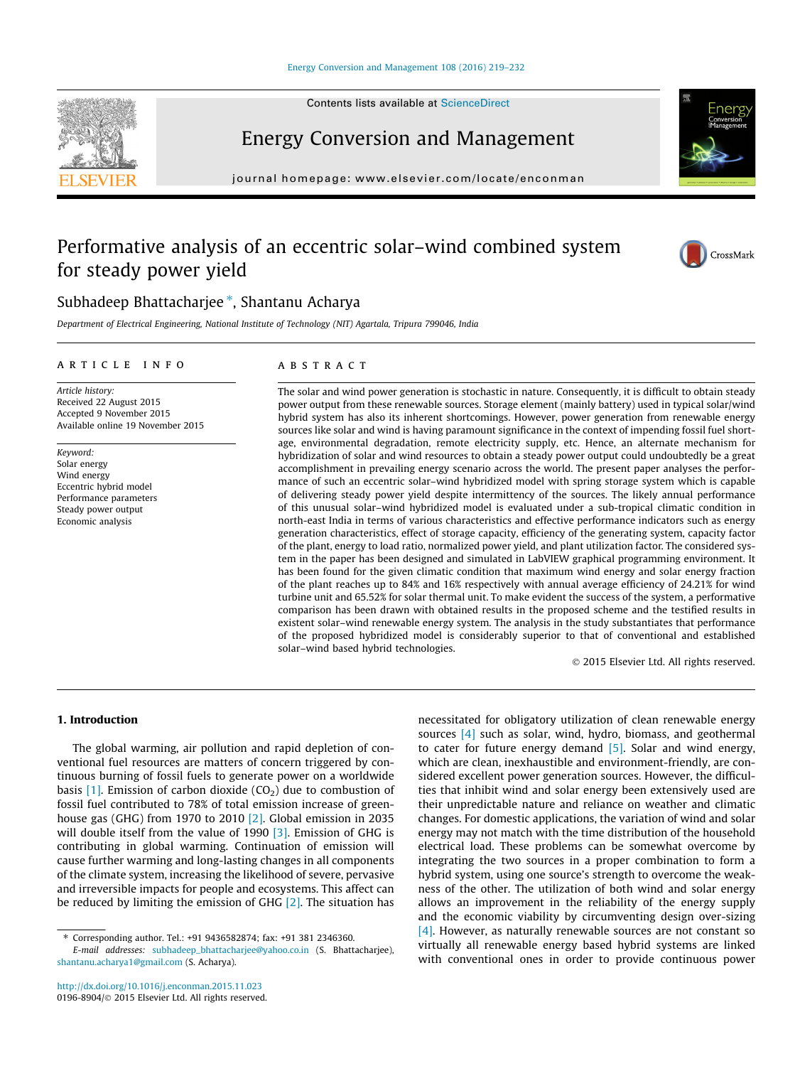#### [Energy Conversion and Management 108 \(2016\) 219–232](http://dx.doi.org/10.1016/j.enconman.2015.11.023)



Energy Conversion and Management

journal homepage: [www.elsevier.com/locate/enconman](http://www.elsevier.com/locate/enconman)

# Performative analysis of an eccentric solar–wind combined system for steady power yield



CrossMark

## Subhadeep Bhattacharjee \*, Shantanu Acharya

Department of Electrical Engineering, National Institute of Technology (NIT) Agartala, Tripura 799046, India

#### article info

Article history: Received 22 August 2015 Accepted 9 November 2015 Available online 19 November 2015

Keyword: Solar energy Wind energy Eccentric hybrid model Performance parameters Steady power output Economic analysis

### ABSTRACT

The solar and wind power generation is stochastic in nature. Consequently, it is difficult to obtain steady power output from these renewable sources. Storage element (mainly battery) used in typical solar/wind hybrid system has also its inherent shortcomings. However, power generation from renewable energy sources like solar and wind is having paramount significance in the context of impending fossil fuel shortage, environmental degradation, remote electricity supply, etc. Hence, an alternate mechanism for hybridization of solar and wind resources to obtain a steady power output could undoubtedly be a great accomplishment in prevailing energy scenario across the world. The present paper analyses the performance of such an eccentric solar–wind hybridized model with spring storage system which is capable of delivering steady power yield despite intermittency of the sources. The likely annual performance of this unusual solar–wind hybridized model is evaluated under a sub-tropical climatic condition in north-east India in terms of various characteristics and effective performance indicators such as energy generation characteristics, effect of storage capacity, efficiency of the generating system, capacity factor of the plant, energy to load ratio, normalized power yield, and plant utilization factor. The considered system in the paper has been designed and simulated in LabVIEW graphical programming environment. It has been found for the given climatic condition that maximum wind energy and solar energy fraction of the plant reaches up to 84% and 16% respectively with annual average efficiency of 24.21% for wind turbine unit and 65.52% for solar thermal unit. To make evident the success of the system, a performative comparison has been drawn with obtained results in the proposed scheme and the testified results in existent solar–wind renewable energy system. The analysis in the study substantiates that performance of the proposed hybridized model is considerably superior to that of conventional and established solar–wind based hybrid technologies.

2015 Elsevier Ltd. All rights reserved.

## 1. Introduction

The global warming, air pollution and rapid depletion of conventional fuel resources are matters of concern triggered by continuous burning of fossil fuels to generate power on a worldwide basis  $[1]$ . Emission of carbon dioxide  $(CO<sub>2</sub>)$  due to combustion of fossil fuel contributed to 78% of total emission increase of greenhouse gas (GHG) from 1970 to 2010 [2]. Global emission in 2035 will double itself from the value of 1990 [3]. Emission of GHG is contributing in global warming. Continuation of emission will cause further warming and long-lasting changes in all components of the climate system, increasing the likelihood of severe, pervasive and irreversible impacts for people and ecosystems. This affect can be reduced by limiting the emission of GHG [2]. The situation has

necessitated for obligatory utilization of clean renewable energy sources [4] such as solar, wind, hydro, biomass, and geothermal to cater for future energy demand  $[5]$ . Solar and wind energy, which are clean, inexhaustible and environment-friendly, are considered excellent power generation sources. However, the difficulties that inhibit wind and solar energy been extensively used are their unpredictable nature and reliance on weather and climatic changes. For domestic applications, the variation of wind and solar energy may not match with the time distribution of the household electrical load. These problems can be somewhat overcome by integrating the two sources in a proper combination to form a hybrid system, using one source's strength to overcome the weakness of the other. The utilization of both wind and solar energy allows an improvement in the reliability of the energy supply and the economic viability by circumventing design over-sizing [4]. However, as naturally renewable sources are not constant so virtually all renewable energy based hybrid systems are linked with conventional ones in order to provide continuous power

Corresponding author. Tel.: +91 9436582874; fax: +91 381 2346360.

E-mail addresses: [subhadeep\\_bhattacharjee@yahoo.co.in](mailto:subhadeep_bhattacharjee@yahoo.co.in) (S. Bhattacharjee), [shantanu.acharya1@gmail.com](mailto:shantanu.acharya1@gmail.com) (S. Acharya).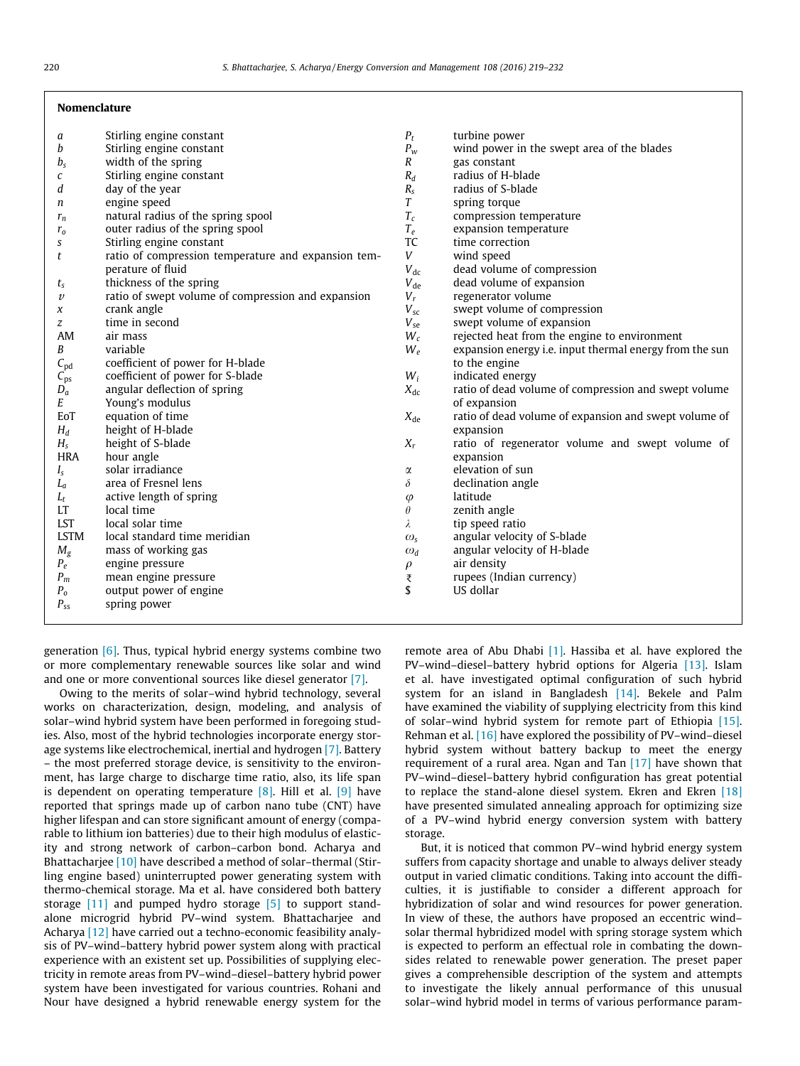| Nomenclature              |                                                     |                  |                                                         |
|---------------------------|-----------------------------------------------------|------------------|---------------------------------------------------------|
| а                         | Stirling engine constant                            | $P_t$            | turbine power                                           |
| b                         | Stirling engine constant                            | $P_w$            | wind power in the swept area of the blades              |
| $b_{\rm s}$               | width of the spring                                 | $\boldsymbol{R}$ | gas constant                                            |
| C                         | Stirling engine constant                            | $R_d$            | radius of H-blade                                       |
| d                         | day of the year                                     | $R_{S}$          | radius of S-blade                                       |
| n                         | engine speed                                        | T                | spring torque                                           |
| $r_n$                     | natural radius of the spring spool                  | $T_c$            | compression temperature                                 |
| $r_{o}$                   | outer radius of the spring spool                    | $T_e$            | expansion temperature                                   |
| S                         | Stirling engine constant                            | <b>TC</b>        | time correction                                         |
| t                         | ratio of compression temperature and expansion tem- | V                | wind speed                                              |
|                           | perature of fluid                                   | $V_{dc}$         | dead volume of compression                              |
| $t_{\rm s}$               | thickness of the spring                             | $V_{\text{de}}$  | dead volume of expansion                                |
| $\boldsymbol{\mathit{v}}$ | ratio of swept volume of compression and expansion  | $V_r$            | regenerator volume                                      |
| x                         | crank angle                                         | $V_{\rm sc}$     | swept volume of compression                             |
| Z                         | time in second                                      | $V_{\rm se}$     | swept volume of expansion                               |
| AM                        | air mass                                            | $W_c$            | rejected heat from the engine to environment            |
| B                         | variable                                            | $W_e$            | expansion energy i.e. input thermal energy from the sun |
| $C_{\rm pd}$              | coefficient of power for H-blade                    |                  | to the engine                                           |
| $C_{\rm ps}$              | coefficient of power for S-blade                    | $W_i$            | indicated energy                                        |
| $D_a$                     | angular deflection of spring                        | $X_{dc}$         | ratio of dead volume of compression and swept volume    |
| E                         | Young's modulus                                     |                  | of expansion                                            |
| EoT                       | equation of time                                    | $X_{\text{de}}$  | ratio of dead volume of expansion and swept volume of   |
| $H_d$                     | height of H-blade                                   |                  | expansion                                               |
| $H_{\rm s}$               | height of S-blade                                   | $X_r$            | ratio of regenerator volume and swept volume of         |
| HRA                       | hour angle                                          |                  | expansion                                               |
| $I_{\rm s}$               | solar irradiance                                    | α                | elevation of sun                                        |
| $L_a$                     | area of Fresnel lens                                | δ                | declination angle                                       |
| $L_t$                     | active length of spring                             | $\varphi$        | latitude                                                |
| <b>LT</b>                 | local time                                          | $\theta$         | zenith angle                                            |
| <b>LST</b>                | local solar time                                    | λ                | tip speed ratio                                         |
| <b>LSTM</b>               | local standard time meridian                        | $\omega_{s}$     | angular velocity of S-blade                             |
| $M_{\rm g}$               | mass of working gas                                 | $\omega_d$       | angular velocity of H-blade                             |
| $P_e$                     | engine pressure                                     | $\rho$           | air density                                             |
| $P_m$                     | mean engine pressure                                | ₹                | rupees (Indian currency)                                |
| $P_o$                     | output power of engine                              | \$               | US dollar                                               |
| $P_{ss}$                  | spring power                                        |                  |                                                         |
|                           |                                                     |                  |                                                         |

generation [6]. Thus, typical hybrid energy systems combine two or more complementary renewable sources like solar and wind and one or more conventional sources like diesel generator [7].

Owing to the merits of solar–wind hybrid technology, several works on characterization, design, modeling, and analysis of solar–wind hybrid system have been performed in foregoing studies. Also, most of the hybrid technologies incorporate energy storage systems like electrochemical, inertial and hydrogen [7]. Battery – the most preferred storage device, is sensitivity to the environment, has large charge to discharge time ratio, also, its life span is dependent on operating temperature  $[8]$ . Hill et al.  $[9]$  have reported that springs made up of carbon nano tube (CNT) have higher lifespan and can store significant amount of energy (comparable to lithium ion batteries) due to their high modulus of elasticity and strong network of carbon–carbon bond. Acharya and Bhattacharjee [10] have described a method of solar–thermal (Stirling engine based) uninterrupted power generating system with thermo-chemical storage. Ma et al. have considered both battery storage [11] and pumped hydro storage [5] to support standalone microgrid hybrid PV–wind system. Bhattacharjee and Acharya [12] have carried out a techno-economic feasibility analysis of PV–wind–battery hybrid power system along with practical experience with an existent set up. Possibilities of supplying electricity in remote areas from PV–wind–diesel–battery hybrid power system have been investigated for various countries. Rohani and Nour have designed a hybrid renewable energy system for the remote area of Abu Dhabi  $[1]$ . Hassiba et al. have explored the PV–wind–diesel–battery hybrid options for Algeria [13]. Islam et al. have investigated optimal configuration of such hybrid system for an island in Bangladesh [14]. Bekele and Palm have examined the viability of supplying electricity from this kind of solar–wind hybrid system for remote part of Ethiopia [15]. Rehman et al. [16] have explored the possibility of PV–wind–diesel hybrid system without battery backup to meet the energy requirement of a rural area. Ngan and Tan  $[17]$  have shown that PV–wind–diesel–battery hybrid configuration has great potential to replace the stand-alone diesel system. Ekren and Ekren [18] have presented simulated annealing approach for optimizing size of a PV–wind hybrid energy conversion system with battery storage.

But, it is noticed that common PV–wind hybrid energy system suffers from capacity shortage and unable to always deliver steady output in varied climatic conditions. Taking into account the difficulties, it is justifiable to consider a different approach for hybridization of solar and wind resources for power generation. In view of these, the authors have proposed an eccentric wind– solar thermal hybridized model with spring storage system which is expected to perform an effectual role in combating the downsides related to renewable power generation. The preset paper gives a comprehensible description of the system and attempts to investigate the likely annual performance of this unusual solar–wind hybrid model in terms of various performance param-